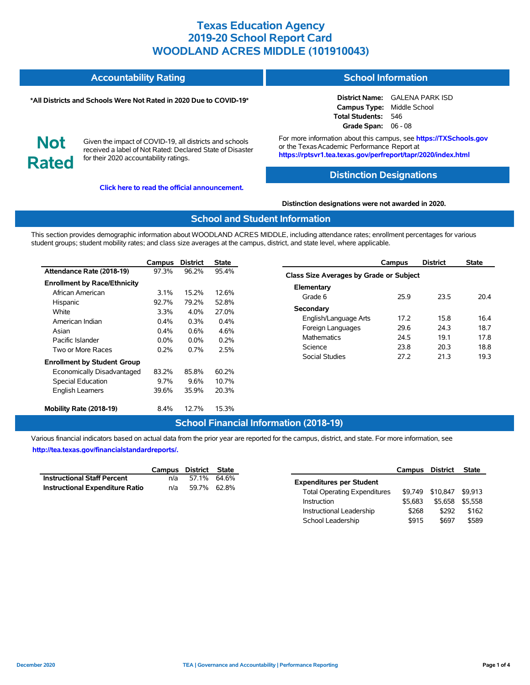| <b>Accountability Rating</b> | <b>School Information</b> |
|------------------------------|---------------------------|
|------------------------------|---------------------------|

#### **\*All Districts and Schools Were Not Rated in 2020 Due to COVID-19\***

#### **District Name:** GALENA PARK ISD **Campus Type:** Middle School **Total Students:** 546 **Grade Span:** 06 - 08

**Not Rated**

Given the impact of COVID-19, all districts and schools received a label of Not Rated: Declared State of Disaster for their 2020 accountability ratings.

**[Click here to read the official announcement.](https://tea.texas.gov/about-tea/news-and-multimedia/correspondence/taa-letters/every-student-succeeds-act-essa-waiver-approval-2020-state-academic-accountability)**

For more information about this campus, see **https://TXSchools.gov** or the TexasAcademic Performance Report at **https://rptsvr1.tea.texas.gov/perfreport/tapr/2020/index.html**

### **Distinction Designations**

**Distinction designations were not awarded in 2020.**

### **School and Student Information**

This section provides demographic information about WOODLAND ACRES MIDDLE, including attendance rates; enrollment percentages for various student groups; student mobility rates; and class size averages at the campus, district, and state level, where applicable.

|                                     | Campus  | <b>District</b> | <b>State</b> |
|-------------------------------------|---------|-----------------|--------------|
| Attendance Rate (2018-19)           | 97.3%   | 96.2%           | 95.4%        |
| <b>Enrollment by Race/Ethnicity</b> |         |                 |              |
| African American                    | $3.1\%$ | 15.2%           | 12.6%        |
| Hispanic                            | 92.7%   | 79.2%           | 52.8%        |
| White                               | 3.3%    | 4.0%            | 27.0%        |
| American Indian                     | 0.4%    | $0.3\%$         | $0.4\%$      |
| Asian                               | $0.4\%$ | 0.6%            | 4.6%         |
| Pacific Islander                    | $0.0\%$ | $0.0\%$         | 0.2%         |
| Two or More Races                   | 0.2%    | $0.7\%$         | 2.5%         |
| <b>Enrollment by Student Group</b>  |         |                 |              |
| Economically Disadvantaged          | 83.2%   | 85.8%           | 60.2%        |
| <b>Special Education</b>            | $9.7\%$ | 9.6%            | 10.7%        |
| <b>English Learners</b>             | 39.6%   | 35.9%           | 20.3%        |
| Mobility Rate (2018-19)             | 8.4%    | 12.7%           | 15.3%        |

#### **Campus District State Class Size Averages by Grade or Subject Elementary** Grade 6 25.9 23.5 20.4 **Secondary** English/Language Arts 17.2 15.8 16.4 Foreign Languages 29.6 24.3 18.7 Mathematics 24.5 19.1 17.8 Science 23.8 20.3 18.8 Social Studies 27.2 21.3 19.3

### **School Financial Information (2018-19)**

Various financial indicators based on actual data from the prior year are reported for the campus, district, and state. For more information, see **[http://tea.texas.gov/financialstandardreports/.](http://tea.texas.gov/financialstandardreports/)**

|                                        | Campus District State |             |  |
|----------------------------------------|-----------------------|-------------|--|
| <b>Instructional Staff Percent</b>     | n/a                   | 57.1% 64.6% |  |
| <b>Instructional Expenditure Ratio</b> | n/a                   | 59.7% 62.8% |  |

|                                     | Campus  | District | <b>State</b> |
|-------------------------------------|---------|----------|--------------|
| <b>Expenditures per Student</b>     |         |          |              |
| <b>Total Operating Expenditures</b> | \$9.749 | \$10,847 | \$9.913      |
| Instruction                         | \$5.683 | \$5.658  | \$5.558      |
| Instructional Leadership            | \$268   | \$292    | \$162        |
| School Leadership                   | \$915   | \$697    | \$589        |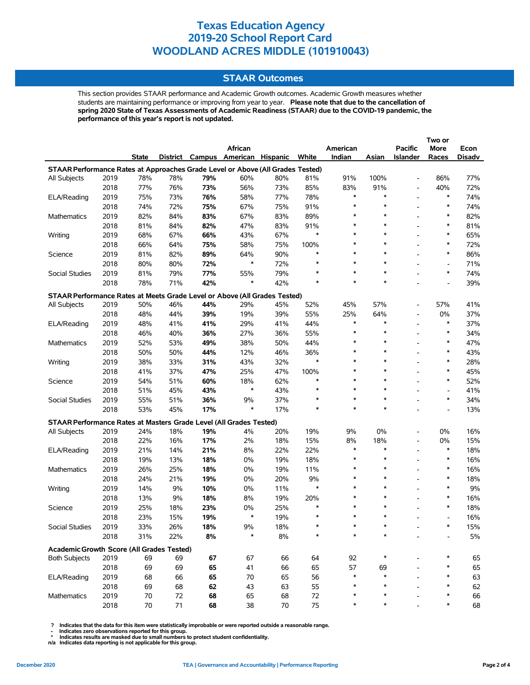### **STAAR Outcomes**

This section provides STAAR performance and Academic Growth outcomes. Academic Growth measures whether students are maintaining performance or improving from year to year. **Please note that due to the cancellation of spring 2020 State of Texas Assessments of Academic Readiness (STAAR) due to the COVID-19 pandemic, the performance of this year's report is not updated.**

|                                                                                |      |        |     |     |                                   |     |               |          |        |                          | Two or                   |        |
|--------------------------------------------------------------------------------|------|--------|-----|-----|-----------------------------------|-----|---------------|----------|--------|--------------------------|--------------------------|--------|
|                                                                                |      |        |     |     | African                           |     |               | American |        | <b>Pacific</b>           | More                     | Econ   |
|                                                                                |      | State  |     |     | District Campus American Hispanic |     | White         | Indian   | Asian  | <b>Islander</b>          | Races                    | Disadv |
| STAAR Performance Rates at Approaches Grade Level or Above (All Grades Tested) |      |        |     |     |                                   |     |               |          |        |                          |                          |        |
| All Subjects                                                                   | 2019 | 78%    | 78% | 79% | 60%                               | 80% | 81%           | 91%      | 100%   | $\overline{a}$           | 86%                      | 77%    |
|                                                                                | 2018 | 77%    | 76% | 73% | 56%                               | 73% | 85%           | 83%      | 91%    | $\overline{\phantom{a}}$ | 40%                      | 72%    |
| ELA/Reading                                                                    | 2019 | 75%    | 73% | 76% | 58%                               | 77% | 78%           | $\ast$   | $\ast$ | $\overline{a}$           | $\ast$                   | 74%    |
|                                                                                | 2018 | 74%    | 72% | 75% | 67%                               | 75% | 91%           | $\ast$   | $\ast$ | $\overline{a}$           | $\ast$                   | 74%    |
| Mathematics                                                                    | 2019 | 82%    | 84% | 83% | 67%                               | 83% | 89%           | $\ast$   | $\ast$ |                          | $\ast$                   | 82%    |
|                                                                                | 2018 | 81%    | 84% | 82% | 47%                               | 83% | 91%           | $\ast$   | $\ast$ | $\overline{a}$           | $\ast$                   | 81%    |
| Writing                                                                        | 2019 | 68%    | 67% | 66% | 43%                               | 67% | $\ast$        | $\ast$   | $\ast$ |                          | $\ast$                   | 65%    |
|                                                                                | 2018 | 66%    | 64% | 75% | 58%                               | 75% | 100%          | $\ast$   | *      |                          | $\ast$                   | 72%    |
| Science                                                                        | 2019 | 81%    | 82% | 89% | 64%                               | 90% | $\ast$        | $\ast$   | $\ast$ |                          | $\ast$                   | 86%    |
|                                                                                | 2018 | 80%    | 80% | 72% | $\ast$                            | 72% | $\ast$        | $\ast$   | $\ast$ | $\overline{a}$           | Ĭ.                       | 71%    |
| Social Studies                                                                 | 2019 | 81%    | 79% | 77% | 55%                               | 79% |               | $\ast$   | $\ast$ |                          | $\ast$                   | 74%    |
|                                                                                | 2018 | 78%    | 71% | 42% | $\ast$                            | 42% |               | $\ast$   | $\ast$ | $\overline{\phantom{0}}$ | $\overline{a}$           | 39%    |
| STAAR Performance Rates at Meets Grade Level or Above (All Grades Tested)      |      |        |     |     |                                   |     |               |          |        |                          |                          |        |
| All Subjects                                                                   | 2019 | 50%    | 46% | 44% | 29%                               | 45% | 52%           | 45%      | 57%    |                          | 57%                      | 41%    |
|                                                                                | 2018 | 48%    | 44% | 39% | 19%                               | 39% | 55%           | 25%      | 64%    | $\overline{\phantom{a}}$ | 0%                       | 37%    |
| ELA/Reading                                                                    | 2019 | 48%    | 41% | 41% | 29%                               | 41% | 44%           | $\ast$   | $\ast$ | $\overline{a}$           | $\ast$                   | 37%    |
|                                                                                | 2018 | 46%    | 40% | 36% | 27%                               | 36% | 55%           | $\ast$   | $\ast$ |                          | $\ast$                   | 34%    |
| Mathematics                                                                    | 2019 | 52%    | 53% | 49% | 38%                               | 50% | 44%           | $\ast$   | $\ast$ | $\overline{a}$           | $\ast$                   | 47%    |
|                                                                                | 2018 | 50%    | 50% | 44% | 12%                               | 46% | 36%           | $\ast$   | $\ast$ | $\overline{a}$           | $\ast$                   | 43%    |
| Writing                                                                        | 2019 | 38%    | 33% | 31% | 43%                               | 32% | $\ast$        | $\ast$   | $\ast$ | $\overline{a}$           | $\ast$                   | 28%    |
|                                                                                | 2018 | 41%    | 37% | 47% | 25%                               | 47% | 100%          | $\ast$   | $\ast$ | $\overline{a}$           | $\ast$                   | 45%    |
| Science                                                                        | 2019 | 54%    | 51% | 60% | 18%                               | 62% | $\ast$        | $\ast$   | $\ast$ |                          | $\ast$                   | 52%    |
|                                                                                | 2018 | 51%    | 45% | 43% | $\ast$                            | 43% | $\ast$        | $\ast$   | $\ast$ |                          | $\overline{\phantom{a}}$ | 41%    |
| Social Studies                                                                 | 2019 | 55%    | 51% | 36% | 9%                                | 37% | *             | $\ast$   | $\ast$ |                          | $\ast$                   | 34%    |
|                                                                                | 2018 | 53%    | 45% | 17% | $\ast$                            | 17% | $\ast$        | $\ast$   | $\ast$ |                          |                          | 13%    |
|                                                                                |      |        |     |     |                                   |     |               |          |        |                          |                          |        |
| STAAR Performance Rates at Masters Grade Level (All Grades Tested)             | 2019 | 24%    | 18% | 19% | 4%                                | 20% | 19%           | 9%       | 0%     | $\overline{a}$           | 0%                       | 16%    |
| All Subjects                                                                   | 2018 | 22%    | 16% | 17% | 2%                                | 18% | 15%           | 8%       | 18%    | $\overline{a}$           | 0%                       | 15%    |
| ELA/Reading                                                                    | 2019 | 21%    | 14% | 21% | 8%                                | 22% | 22%           | $\ast$   | $\ast$ | $\overline{a}$           | $\ast$                   | 18%    |
|                                                                                | 2018 |        |     |     |                                   |     | 18%           | $\ast$   | $\ast$ |                          | $\ast$                   |        |
|                                                                                | 2019 | 19%    | 13% | 18% | 0%                                | 19% |               | $\ast$   | $\ast$ | $\overline{\phantom{0}}$ | $\ast$                   | 16%    |
| <b>Mathematics</b>                                                             |      | 26%    | 25% | 18% | 0%                                | 19% | 11%           | $\ast$   | $\ast$ | $\overline{a}$           | $\ast$                   | 16%    |
|                                                                                | 2018 | 24%    | 21% | 19% | 0%                                | 20% | 9%<br>$\ast$  | $\ast$   | $\ast$ | $\overline{\phantom{0}}$ | $\ast$                   | 18%    |
| Writing                                                                        | 2019 | 14%    | 9%  | 10% | 0%                                | 11% |               | $\ast$   | $\ast$ | $\overline{a}$           | $\ast$                   | 9%     |
|                                                                                | 2018 | 13%    | 9%  | 18% | 8%                                | 19% | 20%<br>$\ast$ | $\ast$   | $\ast$ | $\overline{a}$           | $\ast$                   | 16%    |
| Science                                                                        | 2019 | 25%    | 18% | 23% | 0%                                | 25% | *             | $\ast$   | $\ast$ |                          |                          | 18%    |
|                                                                                | 2018 | 23%    | 15% | 19% | ∗                                 | 19% |               |          |        |                          | $\overline{\phantom{a}}$ | 16%    |
| Social Studies                                                                 | 2019 | 33%    | 26% | 18% | 9%                                | 18% |               |          |        |                          |                          | 15%    |
|                                                                                | 2018 | 31%    | 22% | 8%  | ∗                                 | 8%  |               |          |        |                          |                          | $5\%$  |
| Academic Growth Score (All Grades Tested)                                      |      |        |     |     |                                   |     |               |          |        |                          |                          |        |
| <b>Both Subjects</b>                                                           | 2019 | 69     | 69  | 67  | 67                                | 66  | 64            | 92       |        |                          |                          | 65     |
|                                                                                | 2018 | 69     | 69  | 65  | 41                                | 66  | 65            | 57       | 69     |                          |                          | 65     |
| ELA/Reading                                                                    | 2019 | 68     | 66  | 65  | 70                                | 65  | 56            | ∗        | $\ast$ |                          | *                        | 63     |
|                                                                                | 2018 | 69     | 68  | 62  | 43                                | 63  | 55            | *        | ∗      |                          | $\ast$                   | 62     |
| Mathematics                                                                    | 2019 | 70     | 72  | 68  | 65                                | 68  | 72            |          |        |                          | ∗                        | 66     |
|                                                                                | 2018 | $70\,$ | 71  | 68  | 38                                | 70  | 75            | ∗        | ∗      |                          | $\ast$                   | 68     |

 **? Indicates that the data for this item were statistically improbable or were reported outside a reasonable range.**

 **- Indicates zero observations reported for this group. \* Indicates results are masked due to small numbers to protect student confidentiality.**

**n/a Indicates data reporting is not applicable for this group.**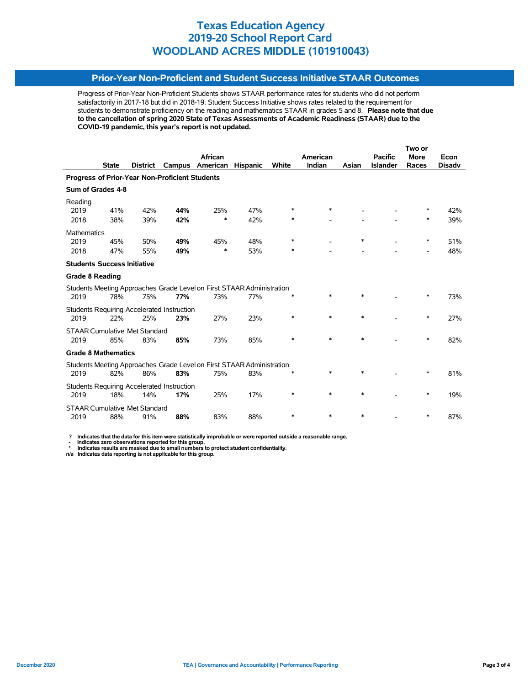## **Prior-Year Non-Proficient and Student Success Initiative STAAR Outcomes**

Progress of Prior-Year Non-Proficient Students shows STAAR performance rates for students who did not perform satisfactorily in 2017-18 but did in 2018-19. Student Success Initiative shows rates related to the requirement for students to demonstrate proficiency on the reading and mathematics STAAR in grades 5 and 8. **Please note that due to the cancellation of spring 2020 State of Texas Assessments of Academic Readiness (STAAR) due to the COVID-19 pandemic, this year's report is not updated.**

|                                                |              |                                      |                                                   |                                                                       |                 | Two or       |          |        |                 |                          |               |
|------------------------------------------------|--------------|--------------------------------------|---------------------------------------------------|-----------------------------------------------------------------------|-----------------|--------------|----------|--------|-----------------|--------------------------|---------------|
|                                                |              |                                      |                                                   | <b>African</b>                                                        |                 |              | American |        | <b>Pacific</b>  | <b>More</b>              | Econ          |
|                                                | <b>State</b> | <b>District</b>                      | Campus                                            | American                                                              | <b>Hispanic</b> | <b>White</b> | Indian   | Asian  | <b>Islander</b> | Races                    | <b>Disadv</b> |
| Progress of Prior-Year Non-Proficient Students |              |                                      |                                                   |                                                                       |                 |              |          |        |                 |                          |               |
| Sum of Grades 4-8                              |              |                                      |                                                   |                                                                       |                 |              |          |        |                 |                          |               |
| Reading                                        |              |                                      |                                                   |                                                                       |                 |              |          |        |                 |                          |               |
| 2019                                           | 41%          | 42%                                  | 44%                                               | 25%                                                                   | 47%             | ∗            | $\ast$   |        |                 | ∗                        | 42%           |
| 2018                                           | 38%          | 39%                                  | 42%                                               | *                                                                     | 42%             | ∗            |          |        |                 | ∗                        | 39%           |
| <b>Mathematics</b>                             |              |                                      |                                                   |                                                                       |                 |              |          |        |                 |                          |               |
| 2019                                           | 45%          | 50%                                  | 49%                                               | 45%                                                                   | 48%             | $\ast$       |          | $\ast$ |                 | $\ast$                   | 51%           |
| 2018                                           | 47%          | 55%                                  | 49%                                               | $\ast$                                                                | 53%             | *            |          |        |                 | $\overline{\phantom{a}}$ | 48%           |
| <b>Students Success Initiative</b>             |              |                                      |                                                   |                                                                       |                 |              |          |        |                 |                          |               |
| <b>Grade 8 Reading</b>                         |              |                                      |                                                   |                                                                       |                 |              |          |        |                 |                          |               |
|                                                |              |                                      |                                                   | Students Meeting Approaches Grade Level on First STAAR Administration |                 |              |          |        |                 |                          |               |
| 2019                                           | 78%          | 75%                                  | 77%                                               | 73%                                                                   | 77%             | $\ast$       | *        | $\ast$ |                 | *                        | 73%           |
|                                                |              |                                      | <b>Students Requiring Accelerated Instruction</b> |                                                                       |                 |              |          |        |                 |                          |               |
| 2019                                           | 22%          | 25%                                  | 23%                                               | 27%                                                                   | 23%             | $\ast$       | $\ast$   | $\ast$ |                 | $\ast$                   | 27%           |
|                                                |              | <b>STAAR Cumulative Met Standard</b> |                                                   |                                                                       |                 |              |          |        |                 |                          |               |
| 2019                                           | 85%          | 83%                                  | 85%                                               | 73%                                                                   | 85%             | $\ast$       | $\ast$   | $\ast$ |                 | $\ast$                   | 82%           |
| <b>Grade 8 Mathematics</b>                     |              |                                      |                                                   |                                                                       |                 |              |          |        |                 |                          |               |
|                                                |              |                                      |                                                   | Students Meeting Approaches Grade Level on First STAAR Administration |                 |              |          |        |                 |                          |               |
| 2019                                           | 82%          | 86%                                  | 83%                                               | 75%                                                                   | 83%             |              | $\ast$   | $\ast$ |                 | $\ast$                   | 81%           |
|                                                |              |                                      | Students Requiring Accelerated Instruction        |                                                                       |                 |              |          |        |                 |                          |               |
| 2019                                           | 18%          | 14%                                  | 17%                                               | 25%                                                                   | 17%             | *            | $\ast$   | $\ast$ |                 | ∗                        | 19%           |
|                                                |              | <b>STAAR Cumulative Met Standard</b> |                                                   |                                                                       |                 |              |          |        |                 |                          |               |
| 2019                                           | 88%          | 91%                                  | 88%                                               | 83%                                                                   | 88%             | *            | $\ast$   | *      |                 | ∗                        | 87%           |

 **? Indicates that the data for this item were statistically improbable or were reported outside a reasonable range.**

 **- Indicates zero observations reported for this group. \* Indicates results are masked due to small numbers to protect student confidentiality.**

**n/a Indicates data reporting is not applicable for this group.**